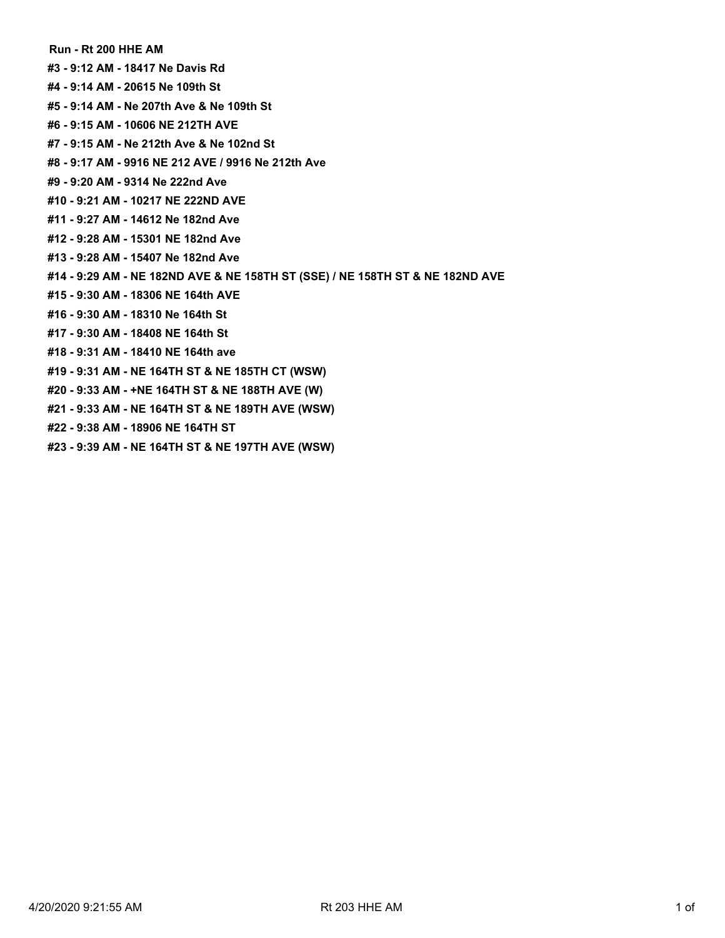**Run - Rt 200 HHE AM**

- **#3 9:12 AM 18417 Ne Davis Rd**
- **#4 9:14 AM 20615 Ne 109th St**
- **#5 9:14 AM Ne 207th Ave & Ne 109th St**
- **#6 9:15 AM 10606 NE 212TH AVE**
- **#7 9:15 AM Ne 212th Ave & Ne 102nd St**
- **#8 9:17 AM 9916 NE 212 AVE / 9916 Ne 212th Ave**
- **#9 9:20 AM 9314 Ne 222nd Ave**
- **#10 9:21 AM 10217 NE 222ND AVE**
- **#11 9:27 AM 14612 Ne 182nd Ave**
- **#12 9:28 AM 15301 NE 182nd Ave**
- **#13 9:28 AM 15407 Ne 182nd Ave**
- **#14 9:29 AM NE 182ND AVE & NE 158TH ST (SSE) / NE 158TH ST & NE 182ND AVE**
- **#15 9:30 AM 18306 NE 164th AVE**
- **#16 9:30 AM 18310 Ne 164th St**
- **#17 9:30 AM 18408 NE 164th St**
- **#18 9:31 AM 18410 NE 164th ave**
- **#19 9:31 AM NE 164TH ST & NE 185TH CT (WSW)**
- **#20 9:33 AM +NE 164TH ST & NE 188TH AVE (W)**
- **#21 9:33 AM NE 164TH ST & NE 189TH AVE (WSW)**
- **#22 9:38 AM 18906 NE 164TH ST**
- **#23 9:39 AM NE 164TH ST & NE 197TH AVE (WSW)**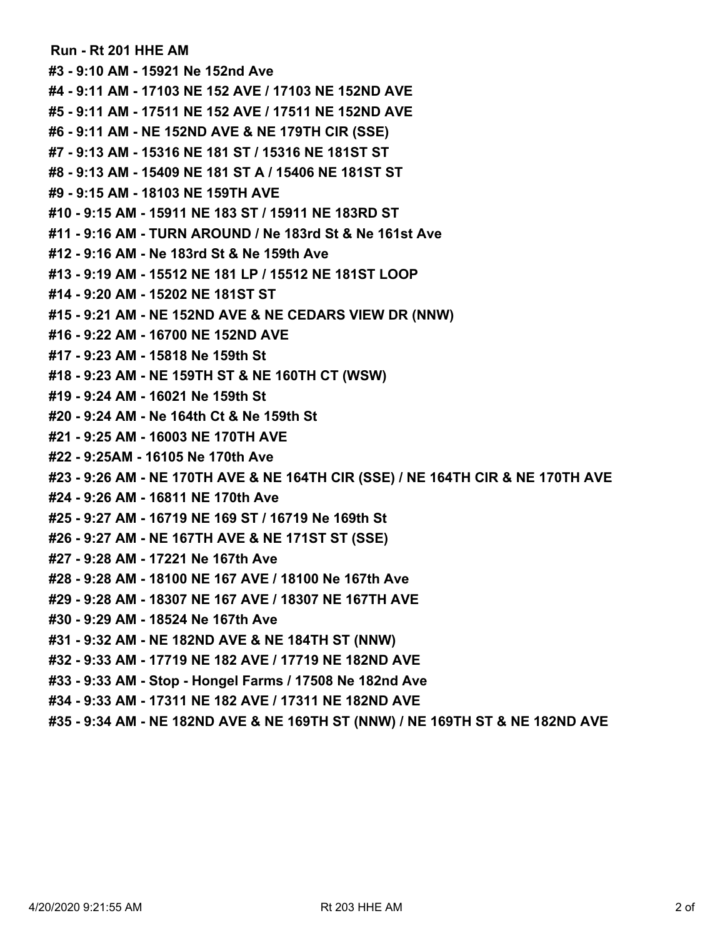**Run - Rt 201 HHE AM #3 - 9:10 AM - 15921 Ne 152nd Ave #4 - 9:11 AM - 17103 NE 152 AVE / 17103 NE 152ND AVE #5 - 9:11 AM - 17511 NE 152 AVE / 17511 NE 152ND AVE #6 - 9:11 AM - NE 152ND AVE & NE 179TH CIR (SSE) #7 - 9:13 AM - 15316 NE 181 ST / 15316 NE 181ST ST #8 - 9:13 AM - 15409 NE 181 ST A / 15406 NE 181ST ST #9 - 9:15 AM - 18103 NE 159TH AVE #10 - 9:15 AM - 15911 NE 183 ST / 15911 NE 183RD ST #11 - 9:16 AM - TURN AROUND / Ne 183rd St & Ne 161st Ave #12 - 9:16 AM - Ne 183rd St & Ne 159th Ave #13 - 9:19 AM - 15512 NE 181 LP / 15512 NE 181ST LOOP #14 - 9:20 AM - 15202 NE 181ST ST #15 - 9:21 AM - NE 152ND AVE & NE CEDARS VIEW DR (NNW) #16 - 9:22 AM - 16700 NE 152ND AVE #17 - 9:23 AM - 15818 Ne 159th St #18 - 9:23 AM - NE 159TH ST & NE 160TH CT (WSW) #19 - 9:24 AM - 16021 Ne 159th St #20 - 9:24 AM - Ne 164th Ct & Ne 159th St #21 - 9:25 AM - 16003 NE 170TH AVE #22 - 9:25AM - 16105 Ne 170th Ave #23 - 9:26 AM - NE 170TH AVE & NE 164TH CIR (SSE) / NE 164TH CIR & NE 170TH AVE #24 - 9:26 AM - 16811 NE 170th Ave #25 - 9:27 AM - 16719 NE 169 ST / 16719 Ne 169th St #26 - 9:27 AM - NE 167TH AVE & NE 171ST ST (SSE) #27 - 9:28 AM - 17221 Ne 167th Ave #28 - 9:28 AM - 18100 NE 167 AVE / 18100 Ne 167th Ave #29 - 9:28 AM - 18307 NE 167 AVE / 18307 NE 167TH AVE #30 - 9:29 AM - 18524 Ne 167th Ave #31 - 9:32 AM - NE 182ND AVE & NE 184TH ST (NNW) #32 - 9:33 AM - 17719 NE 182 AVE / 17719 NE 182ND AVE #33 - 9:33 AM - Stop - Hongel Farms / 17508 Ne 182nd Ave #34 - 9:33 AM - 17311 NE 182 AVE / 17311 NE 182ND AVE**

**#35 - 9:34 AM - NE 182ND AVE & NE 169TH ST (NNW) / NE 169TH ST & NE 182ND AVE**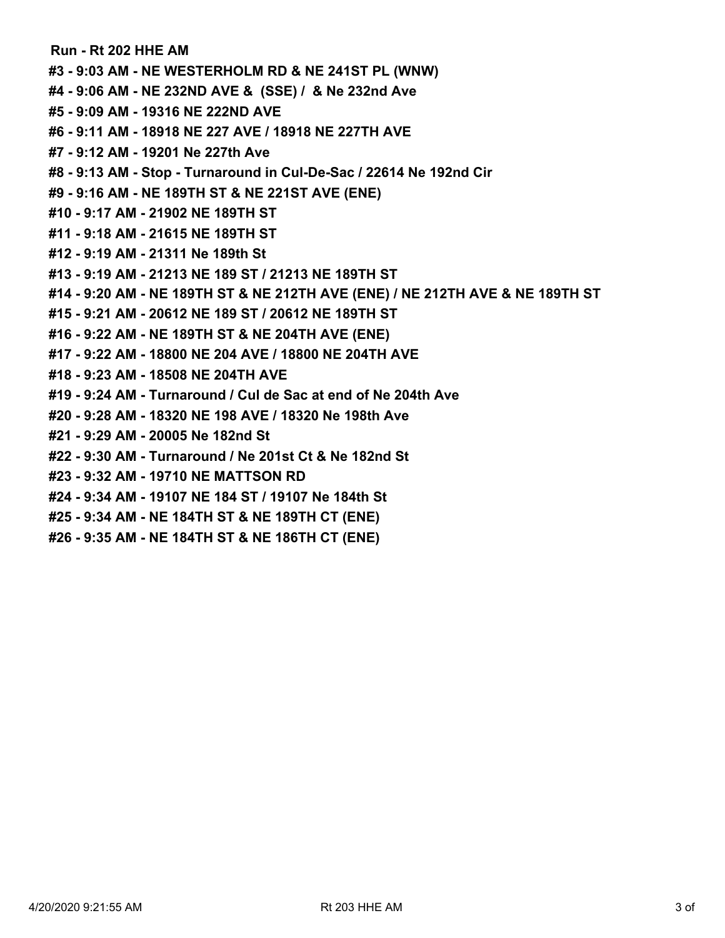**Run - Rt 202 HHE AM #3 - 9:03 AM - NE WESTERHOLM RD & NE 241ST PL (WNW) #4 - 9:06 AM - NE 232ND AVE & (SSE) / & Ne 232nd Ave #5 - 9:09 AM - 19316 NE 222ND AVE #6 - 9:11 AM - 18918 NE 227 AVE / 18918 NE 227TH AVE #7 - 9:12 AM - 19201 Ne 227th Ave #8 - 9:13 AM - Stop - Turnaround in Cul-De-Sac / 22614 Ne 192nd Cir #9 - 9:16 AM - NE 189TH ST & NE 221ST AVE (ENE) #10 - 9:17 AM - 21902 NE 189TH ST #11 - 9:18 AM - 21615 NE 189TH ST #12 - 9:19 AM - 21311 Ne 189th St #13 - 9:19 AM - 21213 NE 189 ST / 21213 NE 189TH ST #14 - 9:20 AM - NE 189TH ST & NE 212TH AVE (ENE) / NE 212TH AVE & NE 189TH ST #15 - 9:21 AM - 20612 NE 189 ST / 20612 NE 189TH ST #16 - 9:22 AM - NE 189TH ST & NE 204TH AVE (ENE) #17 - 9:22 AM - 18800 NE 204 AVE / 18800 NE 204TH AVE #18 - 9:23 AM - 18508 NE 204TH AVE #19 - 9:24 AM - Turnaround / Cul de Sac at end of Ne 204th Ave #20 - 9:28 AM - 18320 NE 198 AVE / 18320 Ne 198th Ave #21 - 9:29 AM - 20005 Ne 182nd St #22 - 9:30 AM - Turnaround / Ne 201st Ct & Ne 182nd St #23 - 9:32 AM - 19710 NE MATTSON RD #24 - 9:34 AM - 19107 NE 184 ST / 19107 Ne 184th St #25 - 9:34 AM - NE 184TH ST & NE 189TH CT (ENE) #26 - 9:35 AM - NE 184TH ST & NE 186TH CT (ENE)**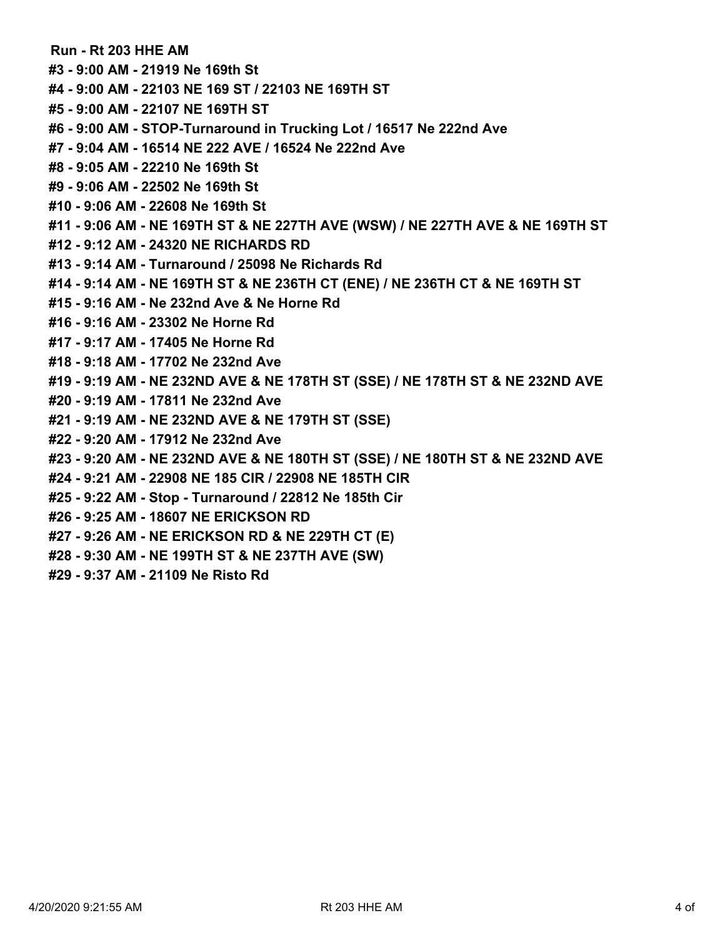**Run - Rt 203 HHE AM**

**#3 - 9:00 AM - 21919 Ne 169th St**

**#4 - 9:00 AM - 22103 NE 169 ST / 22103 NE 169TH ST**

**#5 - 9:00 AM - 22107 NE 169TH ST**

**#6 - 9:00 AM - STOP-Turnaround in Trucking Lot / 16517 Ne 222nd Ave**

**#7 - 9:04 AM - 16514 NE 222 AVE / 16524 Ne 222nd Ave**

**#8 - 9:05 AM - 22210 Ne 169th St**

**#9 - 9:06 AM - 22502 Ne 169th St**

**#10 - 9:06 AM - 22608 Ne 169th St**

**#11 - 9:06 AM - NE 169TH ST & NE 227TH AVE (WSW) / NE 227TH AVE & NE 169TH ST**

**#12 - 9:12 AM - 24320 NE RICHARDS RD**

**#13 - 9:14 AM - Turnaround / 25098 Ne Richards Rd**

**#14 - 9:14 AM - NE 169TH ST & NE 236TH CT (ENE) / NE 236TH CT & NE 169TH ST**

**#15 - 9:16 AM - Ne 232nd Ave & Ne Horne Rd**

**#16 - 9:16 AM - 23302 Ne Horne Rd**

**#17 - 9:17 AM - 17405 Ne Horne Rd**

**#18 - 9:18 AM - 17702 Ne 232nd Ave**

**#19 - 9:19 AM - NE 232ND AVE & NE 178TH ST (SSE) / NE 178TH ST & NE 232ND AVE**

**#20 - 9:19 AM - 17811 Ne 232nd Ave**

**#21 - 9:19 AM - NE 232ND AVE & NE 179TH ST (SSE)**

**#22 - 9:20 AM - 17912 Ne 232nd Ave**

**#23 - 9:20 AM - NE 232ND AVE & NE 180TH ST (SSE) / NE 180TH ST & NE 232ND AVE**

**#24 - 9:21 AM - 22908 NE 185 CIR / 22908 NE 185TH CIR**

**#25 - 9:22 AM - Stop - Turnaround / 22812 Ne 185th Cir**

**#26 - 9:25 AM - 18607 NE ERICKSON RD**

**#27 - 9:26 AM - NE ERICKSON RD & NE 229TH CT (E)**

**#28 - 9:30 AM - NE 199TH ST & NE 237TH AVE (SW)**

**#29 - 9:37 AM - 21109 Ne Risto Rd**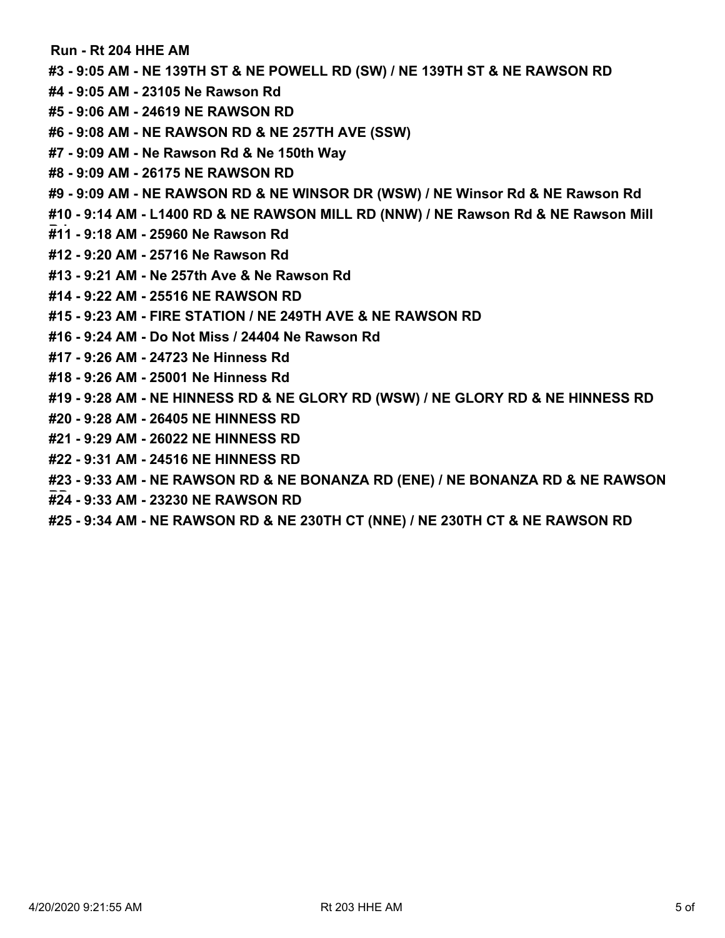**Run - Rt 204 HHE AM**

**#3 - 9:05 AM - NE 139TH ST & NE POWELL RD (SW) / NE 139TH ST & NE RAWSON RD**

- **#4 9:05 AM 23105 Ne Rawson Rd**
- **#5 9:06 AM 24619 NE RAWSON RD**
- **#6 9:08 AM NE RAWSON RD & NE 257TH AVE (SSW)**
- **#7 9:09 AM Ne Rawson Rd & Ne 150th Way**
- **#8 9:09 AM 26175 NE RAWSON RD**
- **#9 9:09 AM NE RAWSON RD & NE WINSOR DR (WSW) / NE Winsor Rd & NE Rawson Rd**
- **#10 9:14 AM L1400 RD & NE RAWSON MILL RD (NNW) / NE Rawson Rd & NE Rawson Mill**
- **Rd#11 9:18 AM 25960 Ne Rawson Rd**
- **#12 9:20 AM 25716 Ne Rawson Rd**
- **#13 9:21 AM Ne 257th Ave & Ne Rawson Rd**
- **#14 9:22 AM 25516 NE RAWSON RD**
- **#15 9:23 AM FIRE STATION / NE 249TH AVE & NE RAWSON RD**
- **#16 9:24 AM Do Not Miss / 24404 Ne Rawson Rd**
- **#17 9:26 AM 24723 Ne Hinness Rd**
- **#18 9:26 AM 25001 Ne Hinness Rd**
- **#19 9:28 AM NE HINNESS RD & NE GLORY RD (WSW) / NE GLORY RD & NE HINNESS RD**
- **#20 9:28 AM 26405 NE HINNESS RD**
- **#21 9:29 AM 26022 NE HINNESS RD**
- **#22 9:31 AM 24516 NE HINNESS RD**
- **#23 9:33 AM NE RAWSON RD & NE BONANZA RD (ENE) / NE BONANZA RD & NE RAWSON**
- **RD#24 9:33 AM 23230 NE RAWSON RD**
- **#25 9:34 AM NE RAWSON RD & NE 230TH CT (NNE) / NE 230TH CT & NE RAWSON RD**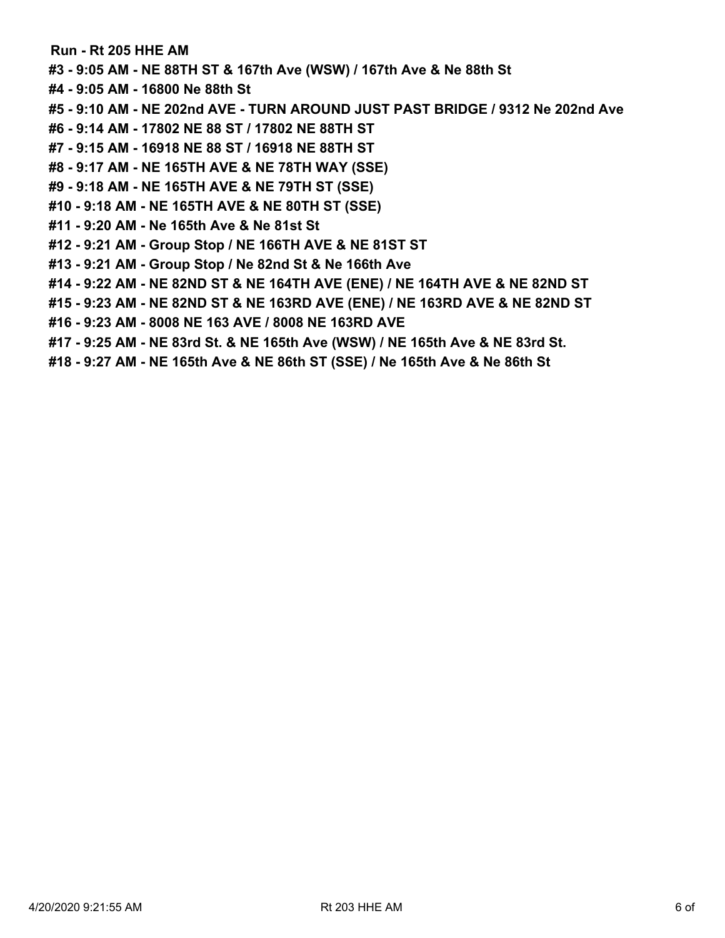**Run - Rt 205 HHE AM**

- **#3 9:05 AM NE 88TH ST & 167th Ave (WSW) / 167th Ave & Ne 88th St**
- **#4 9:05 AM 16800 Ne 88th St**
- **#5 9:10 AM NE 202nd AVE TURN AROUND JUST PAST BRIDGE / 9312 Ne 202nd Ave**
- **#6 9:14 AM 17802 NE 88 ST / 17802 NE 88TH ST**
- **#7 9:15 AM 16918 NE 88 ST / 16918 NE 88TH ST**
- **#8 9:17 AM NE 165TH AVE & NE 78TH WAY (SSE)**
- **#9 9:18 AM NE 165TH AVE & NE 79TH ST (SSE)**
- **#10 9:18 AM NE 165TH AVE & NE 80TH ST (SSE)**
- **#11 9:20 AM Ne 165th Ave & Ne 81st St**
- **#12 9:21 AM Group Stop / NE 166TH AVE & NE 81ST ST**
- **#13 9:21 AM Group Stop / Ne 82nd St & Ne 166th Ave**
- **#14 9:22 AM NE 82ND ST & NE 164TH AVE (ENE) / NE 164TH AVE & NE 82ND ST**
- **#15 9:23 AM NE 82ND ST & NE 163RD AVE (ENE) / NE 163RD AVE & NE 82ND ST**
- **#16 9:23 AM 8008 NE 163 AVE / 8008 NE 163RD AVE**
- **#17 9:25 AM NE 83rd St. & NE 165th Ave (WSW) / NE 165th Ave & NE 83rd St.**
- **#18 9:27 AM NE 165th Ave & NE 86th ST (SSE) / Ne 165th Ave & Ne 86th St**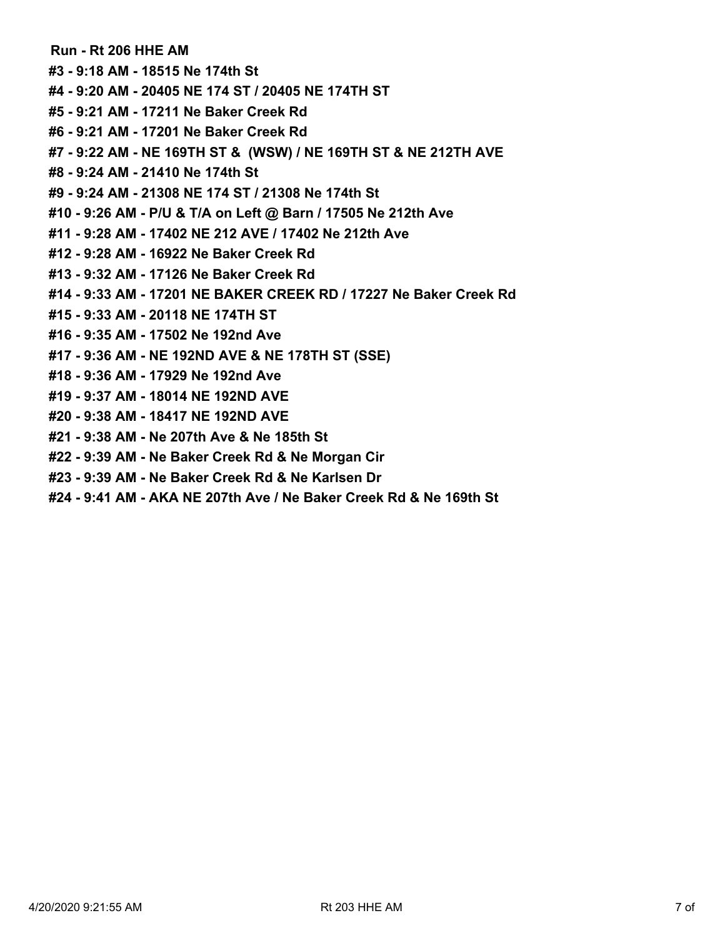**Run - Rt 206 HHE AM #3 - 9:18 AM - 18515 Ne 174th St #4 - 9:20 AM - 20405 NE 174 ST / 20405 NE 174TH ST #5 - 9:21 AM - 17211 Ne Baker Creek Rd #6 - 9:21 AM - 17201 Ne Baker Creek Rd #7 - 9:22 AM - NE 169TH ST & (WSW) / NE 169TH ST & NE 212TH AVE #8 - 9:24 AM - 21410 Ne 174th St #9 - 9:24 AM - 21308 NE 174 ST / 21308 Ne 174th St #10 - 9:26 AM - P/U & T/A on Left @ Barn / 17505 Ne 212th Ave #11 - 9:28 AM - 17402 NE 212 AVE / 17402 Ne 212th Ave**

- **#12 9:28 AM 16922 Ne Baker Creek Rd**
- **#13 9:32 AM 17126 Ne Baker Creek Rd**
- **#14 9:33 AM 17201 NE BAKER CREEK RD / 17227 Ne Baker Creek Rd**
- **#15 9:33 AM 20118 NE 174TH ST**
- **#16 9:35 AM 17502 Ne 192nd Ave**
- **#17 9:36 AM NE 192ND AVE & NE 178TH ST (SSE)**
- **#18 9:36 AM 17929 Ne 192nd Ave**
- **#19 9:37 AM 18014 NE 192ND AVE**
- **#20 9:38 AM 18417 NE 192ND AVE**
- **#21 9:38 AM Ne 207th Ave & Ne 185th St**
- **#22 9:39 AM Ne Baker Creek Rd & Ne Morgan Cir**
- **#23 9:39 AM Ne Baker Creek Rd & Ne Karlsen Dr**
- **#24 9:41 AM AKA NE 207th Ave / Ne Baker Creek Rd & Ne 169th St**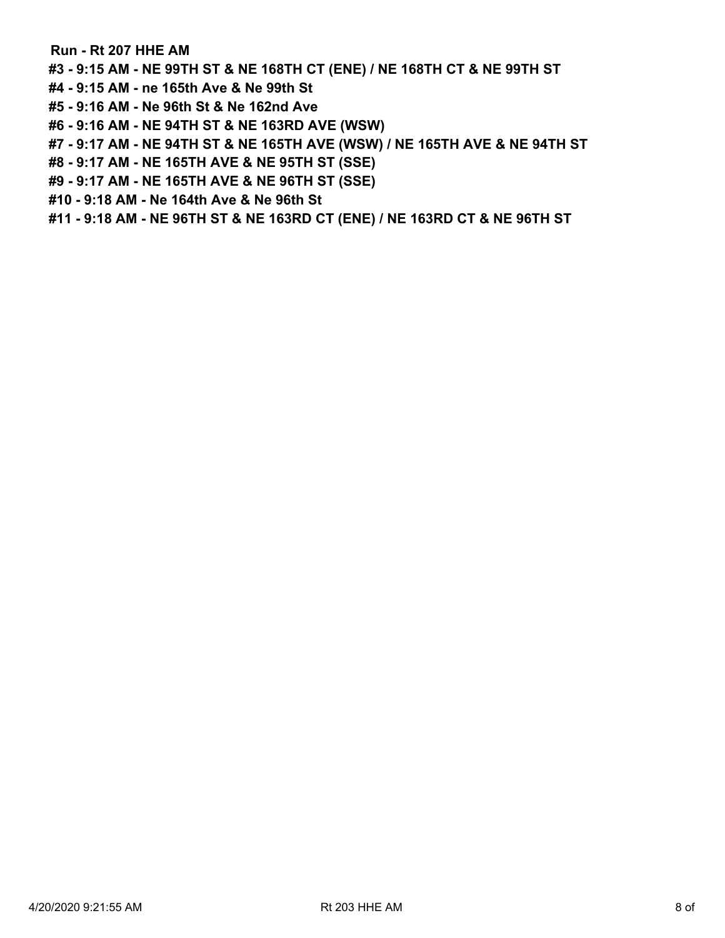**Run - Rt 207 HHE AM**

**#3 - 9:15 AM - NE 99TH ST & NE 168TH CT (ENE) / NE 168TH CT & NE 99TH ST**

- **#4 9:15 AM ne 165th Ave & Ne 99th St**
- **#5 9:16 AM Ne 96th St & Ne 162nd Ave**
- **#6 9:16 AM NE 94TH ST & NE 163RD AVE (WSW)**
- **#7 9:17 AM NE 94TH ST & NE 165TH AVE (WSW) / NE 165TH AVE & NE 94TH ST**
- **#8 9:17 AM NE 165TH AVE & NE 95TH ST (SSE)**
- **#9 9:17 AM NE 165TH AVE & NE 96TH ST (SSE)**
- **#10 9:18 AM Ne 164th Ave & Ne 96th St**
- **#11 9:18 AM NE 96TH ST & NE 163RD CT (ENE) / NE 163RD CT & NE 96TH ST**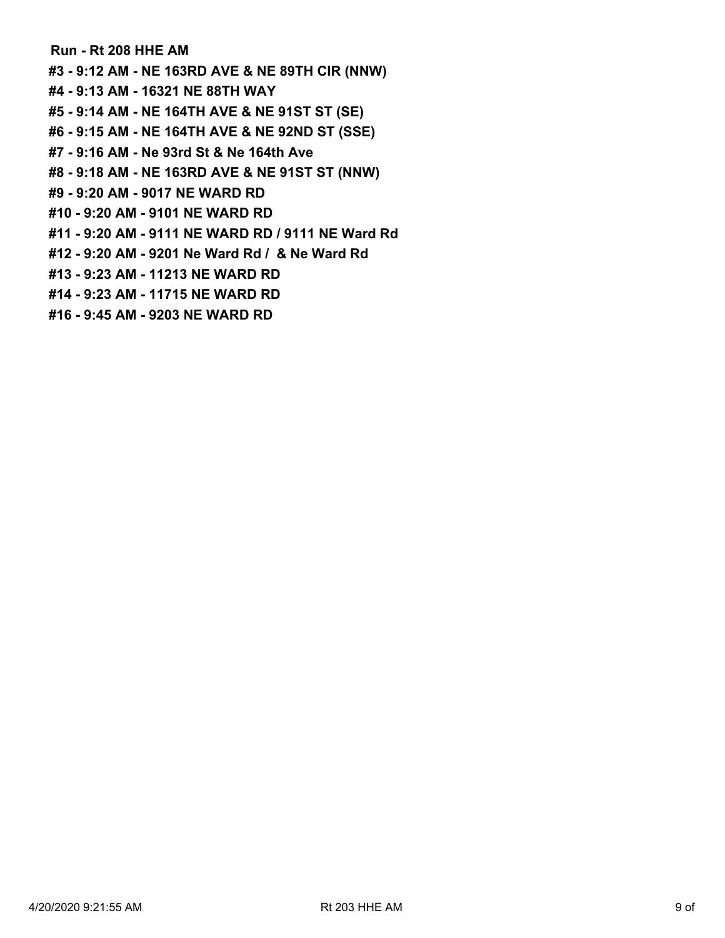**Run - Rt 208 HHE AM #3 - 9:12 AM - NE 163RD AVE & NE 89TH CIR (NNW) #4 - 9:13 AM - 16321 NE 88TH WAY #5 - 9:14 AM - NE 164TH AVE & NE 91ST ST (SE) #6 - 9:15 AM - NE 164TH AVE & NE 92ND ST (SSE) #7 - 9:16 AM - Ne 93rd St & Ne 164th Ave #8 - 9:18 AM - NE 163RD AVE & NE 91ST ST (NNW) #9 - 9:20 AM - 9017 NE WARD RD #10 - 9:20 AM - 9101 NE WARD RD #11 - 9:20 AM - 9111 NE WARD RD / 9111 NE Ward Rd #12 - 9:20 AM - 9201 Ne Ward Rd / & Ne Ward Rd #13 - 9:23 AM - 11213 NE WARD RD #14 - 9:23 AM - 11715 NE WARD RD**

**#16 - 9:45 AM - 9203 NE WARD RD**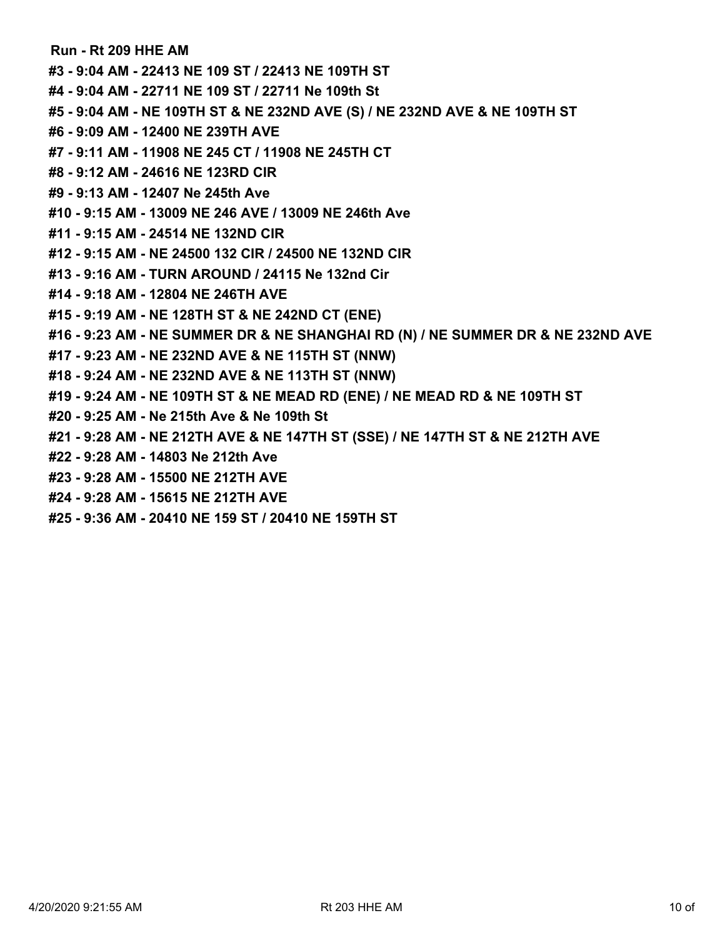**Run - Rt 209 HHE AM #3 - 9:04 AM - 22413 NE 109 ST / 22413 NE 109TH ST #4 - 9:04 AM - 22711 NE 109 ST / 22711 Ne 109th St #5 - 9:04 AM - NE 109TH ST & NE 232ND AVE (S) / NE 232ND AVE & NE 109TH ST #6 - 9:09 AM - 12400 NE 239TH AVE #7 - 9:11 AM - 11908 NE 245 CT / 11908 NE 245TH CT #8 - 9:12 AM - 24616 NE 123RD CIR #9 - 9:13 AM - 12407 Ne 245th Ave #10 - 9:15 AM - 13009 NE 246 AVE / 13009 NE 246th Ave #11 - 9:15 AM - 24514 NE 132ND CIR #12 - 9:15 AM - NE 24500 132 CIR / 24500 NE 132ND CIR #13 - 9:16 AM - TURN AROUND / 24115 Ne 132nd Cir #14 - 9:18 AM - 12804 NE 246TH AVE #15 - 9:19 AM - NE 128TH ST & NE 242ND CT (ENE) #16 - 9:23 AM - NE SUMMER DR & NE SHANGHAI RD (N) / NE SUMMER DR & NE 232ND AVE #17 - 9:23 AM - NE 232ND AVE & NE 115TH ST (NNW) #18 - 9:24 AM - NE 232ND AVE & NE 113TH ST (NNW) #19 - 9:24 AM - NE 109TH ST & NE MEAD RD (ENE) / NE MEAD RD & NE 109TH ST #20 - 9:25 AM - Ne 215th Ave & Ne 109th St #21 - 9:28 AM - NE 212TH AVE & NE 147TH ST (SSE) / NE 147TH ST & NE 212TH AVE #22 - 9:28 AM - 14803 Ne 212th Ave #23 - 9:28 AM - 15500 NE 212TH AVE #24 - 9:28 AM - 15615 NE 212TH AVE #25 - 9:36 AM - 20410 NE 159 ST / 20410 NE 159TH ST**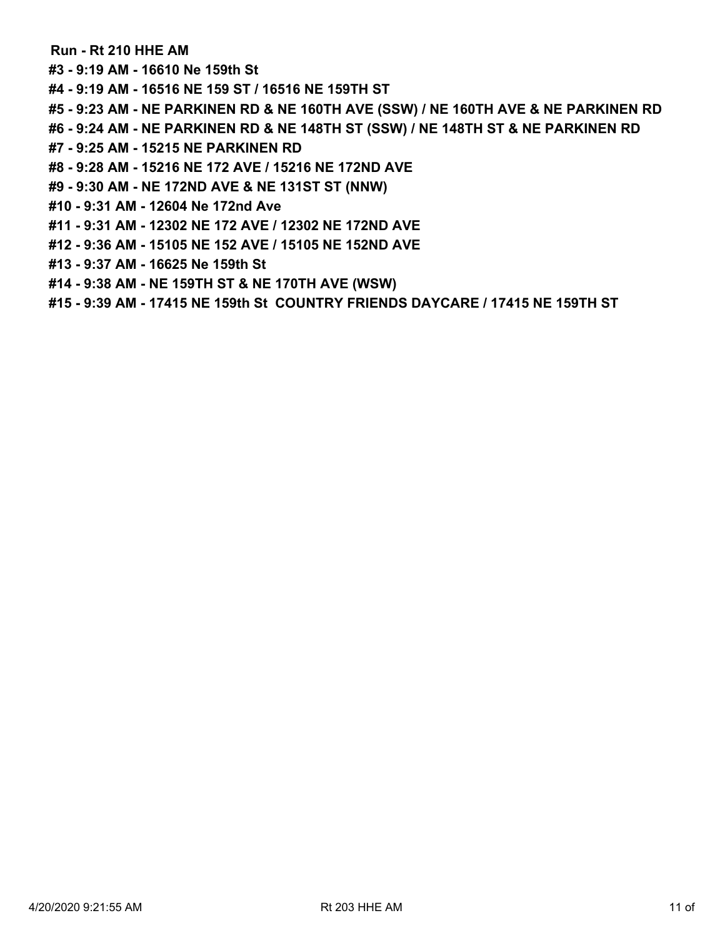## **Run - Rt 210 HHE AM**

**#3 - 9:19 AM - 16610 Ne 159th St**

**#4 - 9:19 AM - 16516 NE 159 ST / 16516 NE 159TH ST**

**#5 - 9:23 AM - NE PARKINEN RD & NE 160TH AVE (SSW) / NE 160TH AVE & NE PARKINEN RD**

**#6 - 9:24 AM - NE PARKINEN RD & NE 148TH ST (SSW) / NE 148TH ST & NE PARKINEN RD**

- **#7 9:25 AM 15215 NE PARKINEN RD**
- **#8 9:28 AM 15216 NE 172 AVE / 15216 NE 172ND AVE**
- **#9 9:30 AM NE 172ND AVE & NE 131ST ST (NNW)**
- **#10 9:31 AM 12604 Ne 172nd Ave**
- **#11 9:31 AM 12302 NE 172 AVE / 12302 NE 172ND AVE**
- **#12 9:36 AM 15105 NE 152 AVE / 15105 NE 152ND AVE**
- **#13 9:37 AM 16625 Ne 159th St**
- **#14 9:38 AM NE 159TH ST & NE 170TH AVE (WSW)**
- **#15 9:39 AM 17415 NE 159th St COUNTRY FRIENDS DAYCARE / 17415 NE 159TH ST**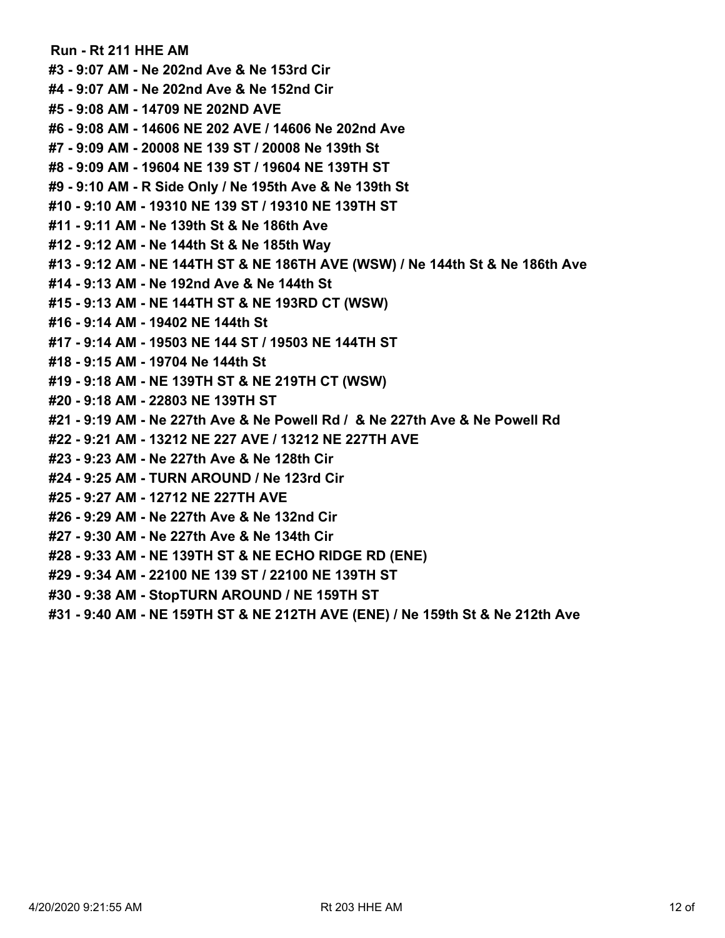**Run - Rt 211 HHE AM #3 - 9:07 AM - Ne 202nd Ave & Ne 153rd Cir #4 - 9:07 AM - Ne 202nd Ave & Ne 152nd Cir #5 - 9:08 AM - 14709 NE 202ND AVE #6 - 9:08 AM - 14606 NE 202 AVE / 14606 Ne 202nd Ave #7 - 9:09 AM - 20008 NE 139 ST / 20008 Ne 139th St #8 - 9:09 AM - 19604 NE 139 ST / 19604 NE 139TH ST #9 - 9:10 AM - R Side Only / Ne 195th Ave & Ne 139th St #10 - 9:10 AM - 19310 NE 139 ST / 19310 NE 139TH ST #11 - 9:11 AM - Ne 139th St & Ne 186th Ave #12 - 9:12 AM - Ne 144th St & Ne 185th Way #13 - 9:12 AM - NE 144TH ST & NE 186TH AVE (WSW) / Ne 144th St & Ne 186th Ave #14 - 9:13 AM - Ne 192nd Ave & Ne 144th St #15 - 9:13 AM - NE 144TH ST & NE 193RD CT (WSW) #16 - 9:14 AM - 19402 NE 144th St #17 - 9:14 AM - 19503 NE 144 ST / 19503 NE 144TH ST #18 - 9:15 AM - 19704 Ne 144th St #19 - 9:18 AM - NE 139TH ST & NE 219TH CT (WSW) #20 - 9:18 AM - 22803 NE 139TH ST #21 - 9:19 AM - Ne 227th Ave & Ne Powell Rd / & Ne 227th Ave & Ne Powell Rd #22 - 9:21 AM - 13212 NE 227 AVE / 13212 NE 227TH AVE #23 - 9:23 AM - Ne 227th Ave & Ne 128th Cir #24 - 9:25 AM - TURN AROUND / Ne 123rd Cir #25 - 9:27 AM - 12712 NE 227TH AVE #26 - 9:29 AM - Ne 227th Ave & Ne 132nd Cir #27 - 9:30 AM - Ne 227th Ave & Ne 134th Cir #28 - 9:33 AM - NE 139TH ST & NE ECHO RIDGE RD (ENE) #29 - 9:34 AM - 22100 NE 139 ST / 22100 NE 139TH ST #30 - 9:38 AM - StopTURN AROUND / NE 159TH ST**

**#31 - 9:40 AM - NE 159TH ST & NE 212TH AVE (ENE) / Ne 159th St & Ne 212th Ave**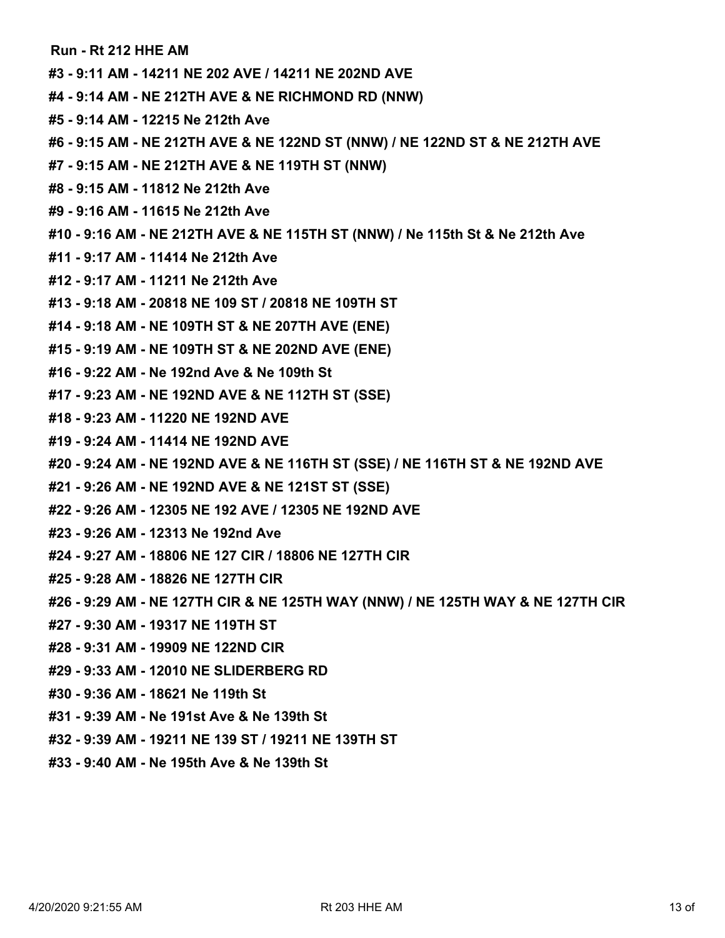**Run - Rt 212 HHE AM**

- **#3 9:11 AM 14211 NE 202 AVE / 14211 NE 202ND AVE**
- **#4 9:14 AM NE 212TH AVE & NE RICHMOND RD (NNW)**
- **#5 9:14 AM 12215 Ne 212th Ave**
- **#6 9:15 AM NE 212TH AVE & NE 122ND ST (NNW) / NE 122ND ST & NE 212TH AVE**
- **#7 9:15 AM NE 212TH AVE & NE 119TH ST (NNW)**
- **#8 9:15 AM 11812 Ne 212th Ave**
- **#9 9:16 AM 11615 Ne 212th Ave**
- **#10 9:16 AM NE 212TH AVE & NE 115TH ST (NNW) / Ne 115th St & Ne 212th Ave**
- **#11 9:17 AM 11414 Ne 212th Ave**
- **#12 9:17 AM 11211 Ne 212th Ave**
- **#13 9:18 AM 20818 NE 109 ST / 20818 NE 109TH ST**
- **#14 9:18 AM NE 109TH ST & NE 207TH AVE (ENE)**
- **#15 9:19 AM NE 109TH ST & NE 202ND AVE (ENE)**
- **#16 9:22 AM Ne 192nd Ave & Ne 109th St**
- **#17 9:23 AM NE 192ND AVE & NE 112TH ST (SSE)**
- **#18 9:23 AM 11220 NE 192ND AVE**
- **#19 9:24 AM 11414 NE 192ND AVE**
- **#20 9:24 AM NE 192ND AVE & NE 116TH ST (SSE) / NE 116TH ST & NE 192ND AVE**
- **#21 9:26 AM NE 192ND AVE & NE 121ST ST (SSE)**
- **#22 9:26 AM 12305 NE 192 AVE / 12305 NE 192ND AVE**
- **#23 9:26 AM 12313 Ne 192nd Ave**
- **#24 9:27 AM 18806 NE 127 CIR / 18806 NE 127TH CIR**
- **#25 9:28 AM 18826 NE 127TH CIR**
- **#26 9:29 AM NE 127TH CIR & NE 125TH WAY (NNW) / NE 125TH WAY & NE 127TH CIR**
- **#27 9:30 AM 19317 NE 119TH ST**
- **#28 9:31 AM 19909 NE 122ND CIR**
- **#29 9:33 AM 12010 NE SLIDERBERG RD**
- **#30 9:36 AM 18621 Ne 119th St**
- **#31 9:39 AM Ne 191st Ave & Ne 139th St**
- **#32 9:39 AM 19211 NE 139 ST / 19211 NE 139TH ST**
- **#33 9:40 AM Ne 195th Ave & Ne 139th St**